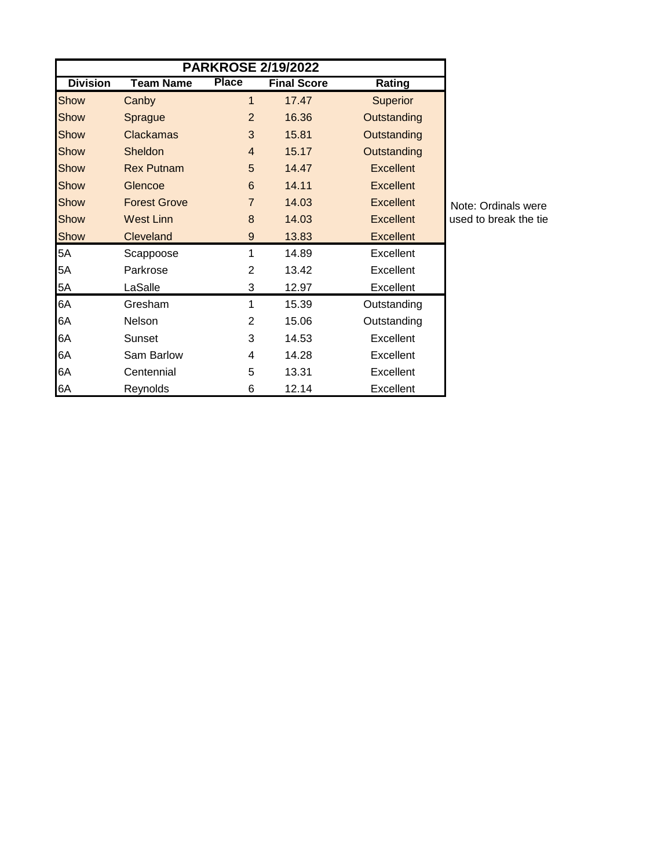| <b>PARKROSE 2/19/2022</b> |                     |                |                    |                  |     |  |  |  |
|---------------------------|---------------------|----------------|--------------------|------------------|-----|--|--|--|
| <b>Division</b>           | <b>Team Name</b>    | <b>Place</b>   | <b>Final Score</b> | Rating           |     |  |  |  |
| Show                      | Canby               | 1              | 17.47              | <b>Superior</b>  |     |  |  |  |
| Show                      | Sprague             | $\overline{2}$ | 16.36              | Outstanding      |     |  |  |  |
| Show                      | <b>Clackamas</b>    | 3              | 15.81              | Outstanding      |     |  |  |  |
| Show                      | Sheldon             | $\overline{4}$ | 15.17              | Outstanding      |     |  |  |  |
| Show                      | <b>Rex Putnam</b>   | 5              | 14.47              | Excellent        |     |  |  |  |
| Show                      | Glencoe             | 6              | 14.11              | <b>Excellent</b> |     |  |  |  |
| Show                      | <b>Forest Grove</b> | $\overline{7}$ | 14.03              | <b>Excellent</b> | Not |  |  |  |
| Show                      | <b>West Linn</b>    | 8              | 14.03              | <b>Excellent</b> | use |  |  |  |
| <b>Show</b>               | Cleveland           | 9              | 13.83              | <b>Excellent</b> |     |  |  |  |
| 5A                        | Scappoose           | 1              | 14.89              | Excellent        |     |  |  |  |
| 5A                        | Parkrose            | $\overline{2}$ | 13.42              | Excellent        |     |  |  |  |
| 5A                        | LaSalle             | 3              | 12.97              | Excellent        |     |  |  |  |
| 6A                        | Gresham             | 1              | 15.39              | Outstanding      |     |  |  |  |
| 6A                        | <b>Nelson</b>       | 2              | 15.06              | Outstanding      |     |  |  |  |
| 6A                        | Sunset              | 3              | 14.53              | Excellent        |     |  |  |  |
| 6A                        | Sam Barlow          | 4              | 14.28              | Excellent        |     |  |  |  |
| 6A                        | Centennial          | 5              | 13.31              | Excellent        |     |  |  |  |
| 6A                        | Reynolds            | 6              | 12.14              | Excellent        |     |  |  |  |

te: Ordinals were d to break the tie